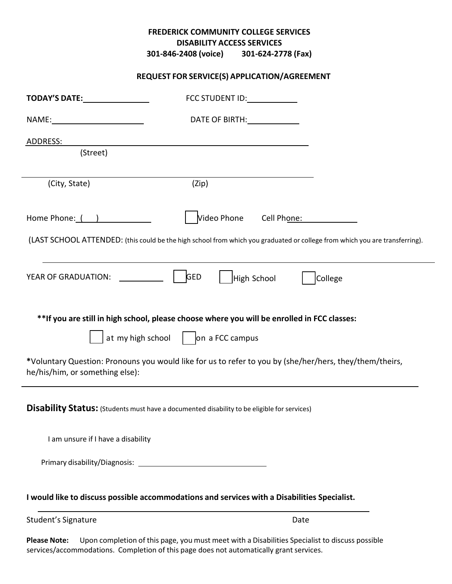## **DISABILITY ACCESS SERVICES FREDERICK COMMUNITY COLLEGE SERVICES 301-846-2408 (voice) 301-624-2778 (Fax)**

## **REQUEST FOR SERVICE(S) APPLICATION/AGREEMENT**

| TODAY'S DATE: TODAY'S DATE:                                                                                                                                                                                                    | FCC STUDENT ID:                                                                                                                          |
|--------------------------------------------------------------------------------------------------------------------------------------------------------------------------------------------------------------------------------|------------------------------------------------------------------------------------------------------------------------------------------|
|                                                                                                                                                                                                                                | DATE OF BIRTH: 1997                                                                                                                      |
| ADDRESS:                                                                                                                                                                                                                       |                                                                                                                                          |
| (Street)                                                                                                                                                                                                                       |                                                                                                                                          |
| (City, State)                                                                                                                                                                                                                  | (Zip)                                                                                                                                    |
| Home Phone: ( )                                                                                                                                                                                                                | Video Phone Cell Phone: Cell 2010                                                                                                        |
|                                                                                                                                                                                                                                | (LAST SCHOOL ATTENDED: (this could be the high school from which you graduated or college from which you are transferring).              |
| YEAR OF GRADUATION:                                                                                                                                                                                                            | <b>GED</b><br>High School<br>College                                                                                                     |
|                                                                                                                                                                                                                                | ** If you are still in high school, please choose where you will be enrolled in FCC classes:<br>at my high school $\int$ on a FCC campus |
| he/his/him, or something else):                                                                                                                                                                                                | *Voluntary Question: Pronouns you would like for us to refer to you by (she/her/hers, they/them/theirs,                                  |
|                                                                                                                                                                                                                                | <b>Disability Status:</b> (Students must have a documented disability to be eligible for services)                                       |
| I am unsure if I have a disability                                                                                                                                                                                             |                                                                                                                                          |
| Primary disability/Diagnosis: Note that the set of the set of the set of the set of the set of the set of the set of the set of the set of the set of the set of the set of the set of the set of the set of the set of the se |                                                                                                                                          |
|                                                                                                                                                                                                                                | I would like to discuss possible accommodations and services with a Disabilities Specialist.                                             |
| Student's Signature                                                                                                                                                                                                            | Date                                                                                                                                     |

 **Please Note:** Upon completion of this page, you must meet with a Disabilities Specialist to discuss possible services/accommodations. Completion of this page does not automatically grant services.